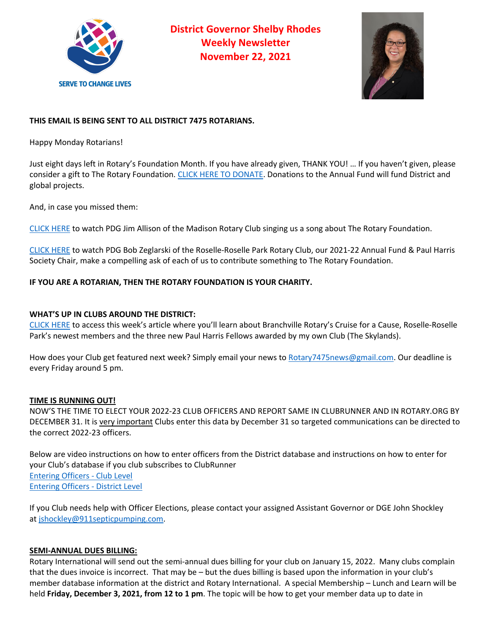

**District Governor Shelby Rhodes Weekly Newsletter November 22, 2021**



# **THIS EMAIL IS BEING SENT TO ALL DISTRICT 7475 ROTARIANS.**

Happy Monday Rotarians!

Just eight days left in Rotary's Foundation Month. If you have already given, THANK YOU! … If you haven't given, please consider a gift to The Rotary Foundation. CLICK HERE TO DONATE. Donations to the Annual Fund will fund District and global projects.

And, in case you missed them:

CLICK HERE to watch PDG Jim Allison of the Madison Rotary Club singing us a song about The Rotary Foundation.

CLICK HERE to watch PDG Bob Zeglarski of the Roselle-Roselle Park Rotary Club, our 2021-22 Annual Fund & Paul Harris Society Chair, make a compelling ask of each of us to contribute something to The Rotary Foundation.

## **IF YOU ARE A ROTARIAN, THEN THE ROTARY FOUNDATION IS YOUR CHARITY.**

### **WHAT'S UP IN CLUBS AROUND THE DISTRICT:**

CLICK HERE to access this week's article where you'll learn about Branchville Rotary's Cruise for a Cause, Roselle-Roselle Park's newest members and the three new Paul Harris Fellows awarded by my own Club (The Skylands).

How does your Club get featured next week? Simply email your news to Rotary7475news@gmail.com. Our deadline is every Friday around 5 pm.

#### **TIME IS RUNNING OUT!**

NOW'S THE TIME TO ELECT YOUR 2022-23 CLUB OFFICERS AND REPORT SAME IN CLUBRUNNER AND IN ROTARY.ORG BY DECEMBER 31. It is very important Clubs enter this data by December 31 so targeted communications can be directed to the correct 2022-23 officers.

Below are video instructions on how to enter officers from the District database and instructions on how to enter for your Club's database if you club subscribes to ClubRunner Entering Officers - Club Level Entering Officers - District Level

If you Club needs help with Officer Elections, please contact your assigned Assistant Governor or DGE John Shockley at jshockley@911septicpumping.com.

#### **SEMI-ANNUAL DUES BILLING:**

Rotary International will send out the semi-annual dues billing for your club on January 15, 2022. Many clubs complain that the dues invoice is incorrect. That may be – but the dues billing is based upon the information in your club's member database information at the district and Rotary International. A special Membership – Lunch and Learn will be held **Friday, December 3, 2021, from 12 to 1 pm**. The topic will be how to get your member data up to date in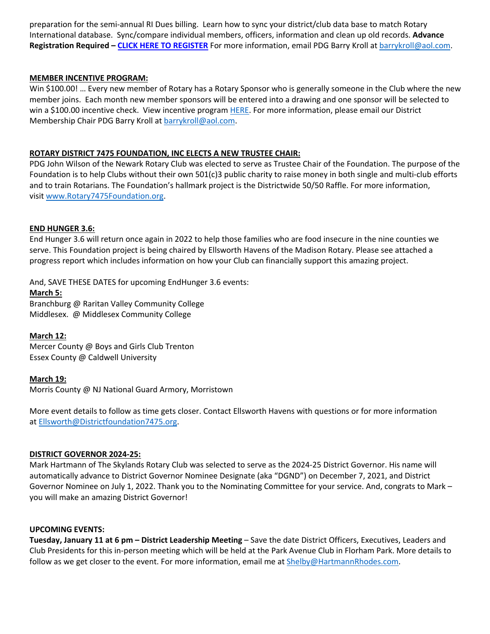preparation for the semi-annual RI Dues billing. Learn how to sync your district/club data base to match Rotary International database. Sync/compare individual members, officers, information and clean up old records. **Advance Registration Required – CLICK HERE TO REGISTER** For more information, email PDG Barry Kroll at barrykroll@aol.com.

### **MEMBER INCENTIVE PROGRAM:**

Win \$100.00! … Every new member of Rotary has a Rotary Sponsor who is generally someone in the Club where the new member joins. Each month new member sponsors will be entered into a drawing and one sponsor will be selected to win a \$100.00 incentive check. View incentive program HERE. For more information, please email our District Membership Chair PDG Barry Kroll at barrykroll@aol.com.

### **ROTARY DISTRICT 7475 FOUNDATION, INC ELECTS A NEW TRUSTEE CHAIR:**

PDG John Wilson of the Newark Rotary Club was elected to serve as Trustee Chair of the Foundation. The purpose of the Foundation is to help Clubs without their own 501(c)3 public charity to raise money in both single and multi-club efforts and to train Rotarians. The Foundation's hallmark project is the Districtwide 50/50 Raffle. For more information, visit www.Rotary7475Foundation.org.

#### **END HUNGER 3.6:**

End Hunger 3.6 will return once again in 2022 to help those families who are food insecure in the nine counties we serve. This Foundation project is being chaired by Ellsworth Havens of the Madison Rotary. Please see attached a progress report which includes information on how your Club can financially support this amazing project.

And, SAVE THESE DATES for upcoming EndHunger 3.6 events:

#### **March 5:**

Branchburg @ Raritan Valley Community College Middlesex. @ Middlesex Community College

## **March 12:**

Mercer County @ Boys and Girls Club Trenton Essex County @ Caldwell University

#### **March 19:**

Morris County @ NJ National Guard Armory, Morristown

More event details to follow as time gets closer. Contact Ellsworth Havens with questions or for more information at Ellsworth@Districtfoundation7475.org.

#### **DISTRICT GOVERNOR 2024-25:**

Mark Hartmann of The Skylands Rotary Club was selected to serve as the 2024-25 District Governor. His name will automatically advance to District Governor Nominee Designate (aka "DGND") on December 7, 2021, and District Governor Nominee on July 1, 2022. Thank you to the Nominating Committee for your service. And, congrats to Mark – you will make an amazing District Governor!

#### **UPCOMING EVENTS:**

**Tuesday, January 11 at 6 pm – District Leadership Meeting** – Save the date District Officers, Executives, Leaders and Club Presidents for this in-person meeting which will be held at the Park Avenue Club in Florham Park. More details to follow as we get closer to the event. For more information, email me at **Shelby@HartmannRhodes.com**.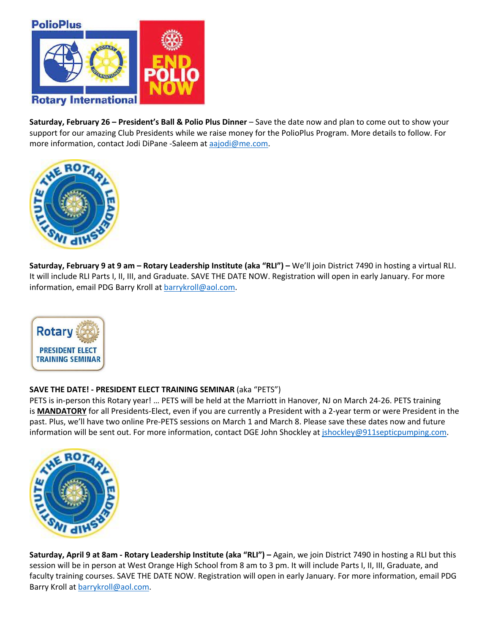

**Saturday, February 26 – President's Ball & Polio Plus Dinner** – Save the date now and plan to come out to show your support for our amazing Club Presidents while we raise money for the PolioPlus Program. More details to follow. For more information, contact Jodi DiPane -Saleem at aajodi@me.com.



**Saturday, February 9 at 9 am – Rotary Leadership Institute (aka "RLI") –** We'll join District 7490 in hosting a virtual RLI. It will include RLI Parts I, II, III, and Graduate. SAVE THE DATE NOW. Registration will open in early January. For more information, email PDG Barry Kroll at barrykroll@aol.com.



## **SAVE THE DATE! - PRESIDENT ELECT TRAINING SEMINAR** (aka "PETS")

PETS is in-person this Rotary year! … PETS will be held at the Marriott in Hanover, NJ on March 24-26. PETS training is **MANDATORY** for all Presidents-Elect, even if you are currently a President with a 2-year term or were President in the past. Plus, we'll have two online Pre-PETS sessions on March 1 and March 8. Please save these dates now and future information will be sent out. For more information, contact DGE John Shockley at jshockley@911septicpumping.com.



**Saturday, April 9 at 8am - Rotary Leadership Institute (aka "RLI") –** Again, we join District 7490 in hosting a RLI but this session will be in person at West Orange High School from 8 am to 3 pm. It will include Parts I, II, III, Graduate, and faculty training courses. SAVE THE DATE NOW. Registration will open in early January. For more information, email PDG Barry Kroll at barrykroll@aol.com.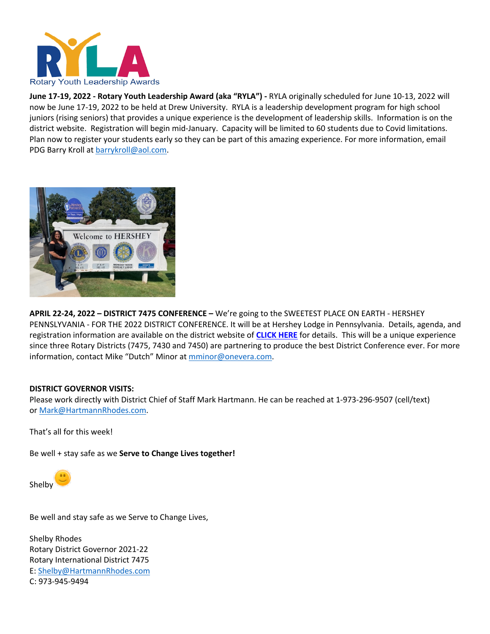

**June 17-19, 2022 - Rotary Youth Leadership Award (aka "RYLA") -** RYLA originally scheduled for June 10-13, 2022 will now be June 17-19, 2022 to be held at Drew University. RYLA is a leadership development program for high school juniors (rising seniors) that provides a unique experience is the development of leadership skills. Information is on the district website. Registration will begin mid-January. Capacity will be limited to 60 students due to Covid limitations. Plan now to register your students early so they can be part of this amazing experience. For more information, email PDG Barry Kroll at barrykroll@aol.com.



**APRIL 22-24, 2022 – DISTRICT 7475 CONFERENCE –** We're going to the SWEETEST PLACE ON EARTH - HERSHEY PENNSLYVANIA - FOR THE 2022 DISTRICT CONFERENCE. It will be at Hershey Lodge in Pennsylvania. Details, agenda, and registration information are available on the district website of **CLICK HERE** for details. This will be a unique experience since three Rotary Districts (7475, 7430 and 7450) are partnering to produce the best District Conference ever. For more information, contact Mike "Dutch" Minor at mminor@onevera.com.

#### **DISTRICT GOVERNOR VISITS:**

Please work directly with District Chief of Staff Mark Hartmann. He can be reached at 1-973-296-9507 (cell/text) or Mark@HartmannRhodes.com.

That's all for this week!

Be well + stay safe as we **Serve to Change Lives together!**



Be well and stay safe as we Serve to Change Lives,

Shelby Rhodes Rotary District Governor 2021-22 Rotary International District 7475 E: Shelby@HartmannRhodes.com C: 973-945-9494